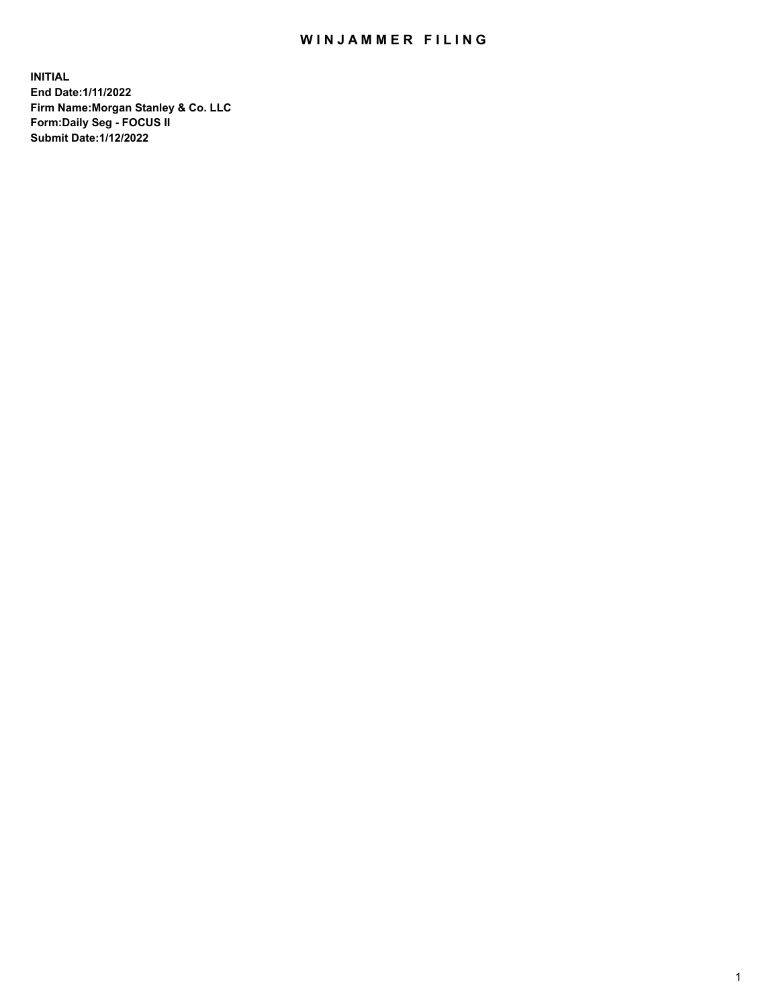## WIN JAMMER FILING

**INITIAL End Date:1/11/2022 Firm Name:Morgan Stanley & Co. LLC Form:Daily Seg - FOCUS II Submit Date:1/12/2022**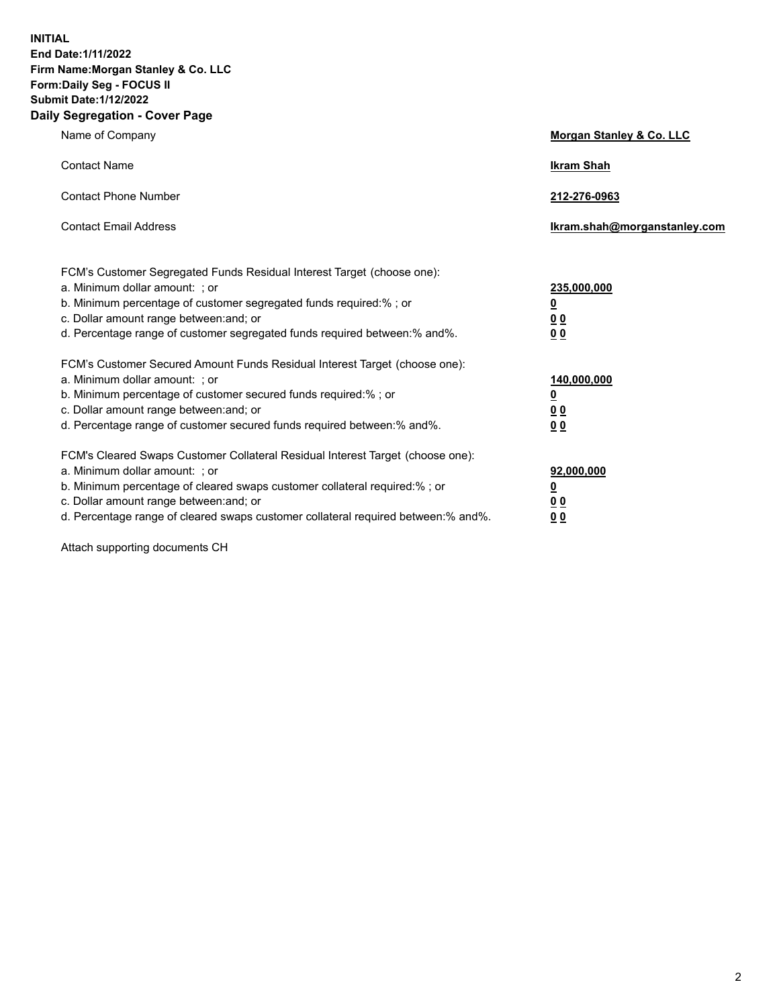**INITIAL End Date:1/11/2022 Firm Name:Morgan Stanley & Co. LLC Form:Daily Seg - FOCUS II Submit Date:1/12/2022 Daily Segregation - Cover Page**

| Name of Company                                                                                                                                                                                                                                                                                                                | <b>Morgan Stanley &amp; Co. LLC</b>                    |
|--------------------------------------------------------------------------------------------------------------------------------------------------------------------------------------------------------------------------------------------------------------------------------------------------------------------------------|--------------------------------------------------------|
| <b>Contact Name</b>                                                                                                                                                                                                                                                                                                            | <b>Ikram Shah</b>                                      |
| <b>Contact Phone Number</b>                                                                                                                                                                                                                                                                                                    | 212-276-0963                                           |
| <b>Contact Email Address</b>                                                                                                                                                                                                                                                                                                   | Ikram.shah@morganstanley.com                           |
| FCM's Customer Segregated Funds Residual Interest Target (choose one):<br>a. Minimum dollar amount: ; or<br>b. Minimum percentage of customer segregated funds required:% ; or<br>c. Dollar amount range between: and; or<br>d. Percentage range of customer segregated funds required between:% and%.                         | 235,000,000<br><u>0</u><br><u>0 0</u><br>0 Q           |
| FCM's Customer Secured Amount Funds Residual Interest Target (choose one):<br>a. Minimum dollar amount: ; or<br>b. Minimum percentage of customer secured funds required:%; or<br>c. Dollar amount range between: and; or<br>d. Percentage range of customer secured funds required between: % and %.                          | 140,000,000<br><u>0</u><br><u>00</u><br>0 <sub>0</sub> |
| FCM's Cleared Swaps Customer Collateral Residual Interest Target (choose one):<br>a. Minimum dollar amount: ; or<br>b. Minimum percentage of cleared swaps customer collateral required:% ; or<br>c. Dollar amount range between: and; or<br>d. Percentage range of cleared swaps customer collateral required between:% and%. | 92,000,000<br><u>0</u><br><u>00</u><br>00              |

Attach supporting documents CH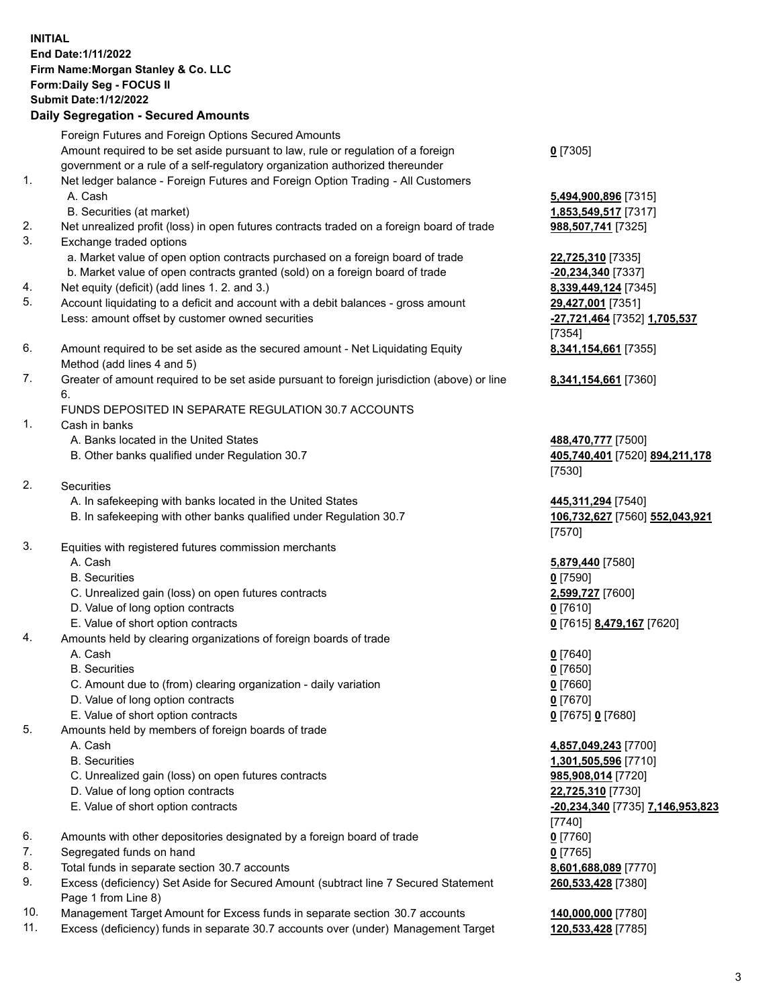## **INITIAL End Date:1/11/2022 Firm Name:Morgan Stanley & Co. LLC Form:Daily Seg - FOCUS II Submit Date:1/12/2022**

## **Daily Segregation - Secured Amounts**

Foreign Futures and Foreign Options Secured Amounts Amount required to be set aside pursuant to law, rule or regulation of a foreign government or a rule of a self-regulatory organization authorized thereunder 1. Net ledger balance - Foreign Futures and Foreign Option Trading - All Customers A. Cash **5,494,900,896** [7315] B. Securities (at market) **1,853,549,517** [7317] 2. Net unrealized profit (loss) in open futures contracts traded on a foreign board of trade **988,507,741** [7325] 3. Exchange traded options a. Market value of open option contracts purchased on a foreign board of trade **22,725,310** [7335] b. Market value of open contracts granted (sold) on a foreign board of trade **-20,234,340** [7337] 4. Net equity (deficit) (add lines 1. 2. and 3.) **8,339,449,124** [7345] 5. Account liquidating to a deficit and account with a debit balances - gross amount **29,427,001** [7351] Less: amount offset by customer owned securities **-27,721,464** [7352] **1,705,537** 6. Amount required to be set aside as the secured amount - Net Liquidating Equity Method (add lines 4 and 5) 7. Greater of amount required to be set aside pursuant to foreign jurisdiction (above) or line 6. FUNDS DEPOSITED IN SEPARATE REGULATION 30.7 ACCOUNTS 1. Cash in banks A. Banks located in the United States **488,470,777** [7500] B. Other banks qualified under Regulation 30.7 **405,740,401** [7520] **894,211,178** 2. Securities A. In safekeeping with banks located in the United States **445,311,294** [7540] B. In safekeeping with other banks qualified under Regulation 30.7 **106,732,627** [7560] **552,043,921**

- 3. Equities with registered futures commission merchants
	-
	- B. Securities **0** [7590]
	- C. Unrealized gain (loss) on open futures contracts **2,599,727** [7600]
	- D. Value of long option contracts **0** [7610]
	- E. Value of short option contracts **0** [7615] **8,479,167** [7620]
- 4. Amounts held by clearing organizations of foreign boards of trade
	-
	- B. Securities **0** [7650]
	- C. Amount due to (from) clearing organization daily variation **0** [7660]
	- D. Value of long option contracts **0** [7670]
	- E. Value of short option contracts **0** [7675] **0** [7680]
- 5. Amounts held by members of foreign boards of trade
	-
	-
	- C. Unrealized gain (loss) on open futures contracts **985,908,014** [7720]
	- D. Value of long option contracts **22,725,310** [7730]
	-
- 6. Amounts with other depositories designated by a foreign board of trade **0** [7760]
- 7. Segregated funds on hand **0** [7765]
- 8. Total funds in separate section 30.7 accounts **8,601,688,089** [7770]
- 9. Excess (deficiency) Set Aside for Secured Amount (subtract line 7 Secured Statement Page 1 from Line 8)
- 10. Management Target Amount for Excess funds in separate section 30.7 accounts **140,000,000** [7780]
- 11. Excess (deficiency) funds in separate 30.7 accounts over (under) Management Target **120,533,428** [7785]

**0** [7305]

[7354] **8,341,154,661** [7355]

**8,341,154,661** [7360]

[7530]

[7570]

A. Cash **5,879,440** [7580]

A. Cash **0** [7640]

 A. Cash **4,857,049,243** [7700] B. Securities **1,301,505,596** [7710] E. Value of short option contracts **-20,234,340** [7735] **7,146,953,823** [7740] **260,533,428** [7380]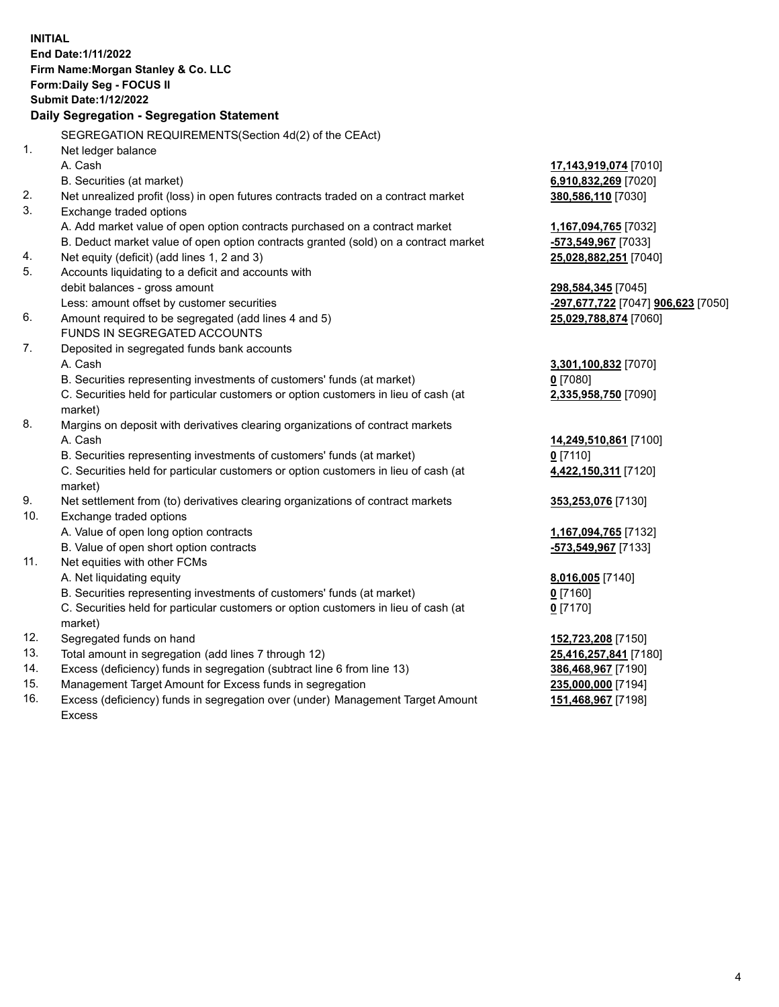**INITIAL End Date:1/11/2022 Firm Name:Morgan Stanley & Co. LLC Form:Daily Seg - FOCUS II Submit Date:1/12/2022 Daily Segregation - Segregation Statement** SEGREGATION REQUIREMENTS(Section 4d(2) of the CEAct) 1. Net ledger balance A. Cash **17,143,919,074** [7010] B. Securities (at market) **6,910,832,269** [7020] 2. Net unrealized profit (loss) in open futures contracts traded on a contract market **380,586,110** [7030] 3. Exchange traded options A. Add market value of open option contracts purchased on a contract market **1,167,094,765** [7032] B. Deduct market value of open option contracts granted (sold) on a contract market **-573,549,967** [7033] 4. Net equity (deficit) (add lines 1, 2 and 3) **25,028,882,251** [7040] 5. Accounts liquidating to a deficit and accounts with debit balances - gross amount **298,584,345** [7045] Less: amount offset by customer securities **-297,677,722** [7047] **906,623** [7050] 6. Amount required to be segregated (add lines 4 and 5) **25,029,788,874** [7060] FUNDS IN SEGREGATED ACCOUNTS 7. Deposited in segregated funds bank accounts A. Cash **3,301,100,832** [7070] B. Securities representing investments of customers' funds (at market) **0** [7080] C. Securities held for particular customers or option customers in lieu of cash (at market) **2,335,958,750** [7090] 8. Margins on deposit with derivatives clearing organizations of contract markets A. Cash **14,249,510,861** [7100] B. Securities representing investments of customers' funds (at market) **0** [7110] C. Securities held for particular customers or option customers in lieu of cash (at market) **4,422,150,311** [7120] 9. Net settlement from (to) derivatives clearing organizations of contract markets **353,253,076** [7130] 10. Exchange traded options A. Value of open long option contracts **1,167,094,765** [7132] B. Value of open short option contracts **-573,549,967** [7133] 11. Net equities with other FCMs A. Net liquidating equity **8,016,005** [7140] B. Securities representing investments of customers' funds (at market) **0** [7160] C. Securities held for particular customers or option customers in lieu of cash (at market) **0** [7170] 12. Segregated funds on hand **152,723,208** [7150] 13. Total amount in segregation (add lines 7 through 12) **25,416,257,841** [7180] 14. Excess (deficiency) funds in segregation (subtract line 6 from line 13) **386,468,967** [7190] 15. Management Target Amount for Excess funds in segregation **235,000,000** [7194] 16. Excess (deficiency) funds in segregation over (under) Management Target Amount **151,468,967** [7198]

Excess